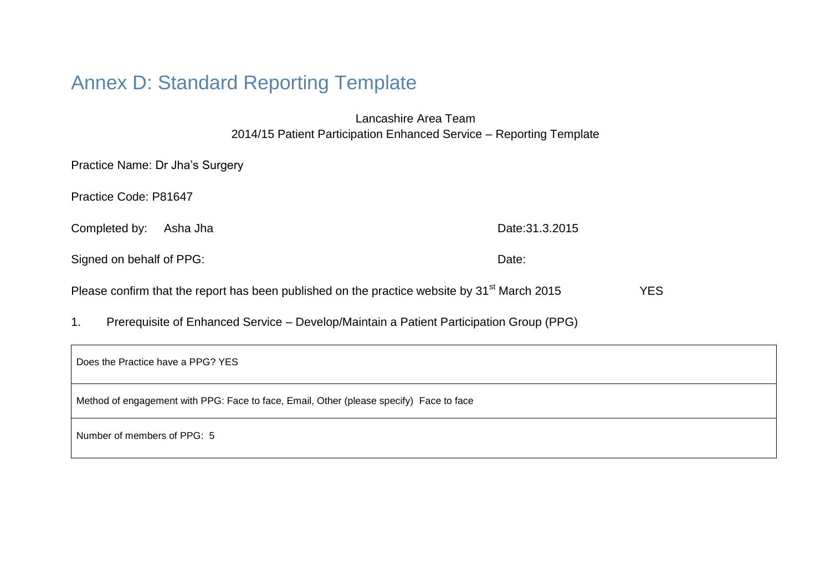# Annex D: Standard Reporting Template

Lancashire Area Team 2014/15 Patient Participation Enhanced Service – Reporting Template

| Practice Name: Dr Jha's Surgery                                                                          |                 |            |
|----------------------------------------------------------------------------------------------------------|-----------------|------------|
| Practice Code: P81647                                                                                    |                 |            |
| Completed by:<br>Asha Jha                                                                                | Date: 31.3.2015 |            |
| Signed on behalf of PPG:                                                                                 | Date:           |            |
| Please confirm that the report has been published on the practice website by 31 <sup>st</sup> March 2015 |                 | <b>YES</b> |

1. Prerequisite of Enhanced Service – Develop/Maintain a Patient Participation Group (PPG)

| Does the Practice have a PPG? YES                                                       |  |
|-----------------------------------------------------------------------------------------|--|
| Method of engagement with PPG: Face to face, Email, Other (please specify) Face to face |  |
| Number of members of PPG: 5                                                             |  |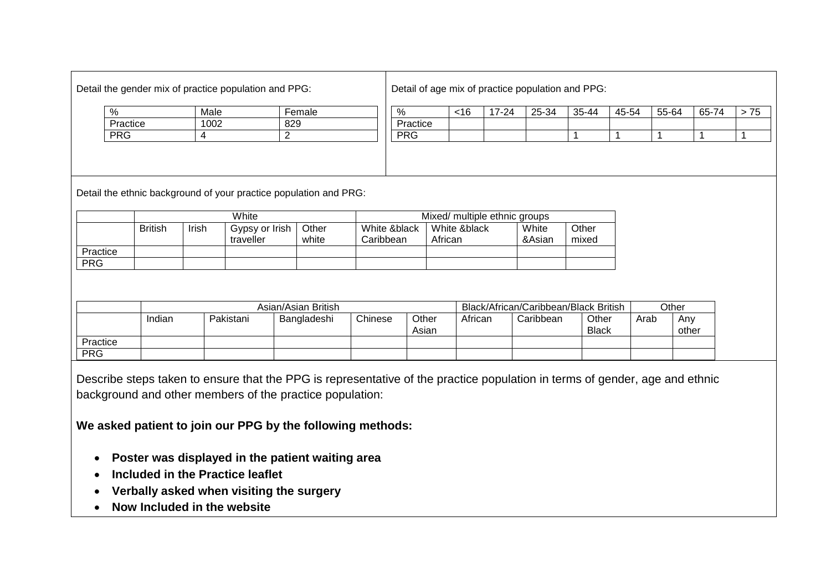| Detail the gender mix of practice population and PPG: |  |  |
|-------------------------------------------------------|--|--|
|                                                       |  |  |

Detail of age mix of practice population and PPG:

| %        | Male | Female |
|----------|------|--------|
| Practice | ∩∩ി  | 829    |
| PRG      |      | ◠      |

| %          | <16 | 17-24 | 25-34 | 35-44 | 45-54 | 55-64 | 65-74 | ں ، |
|------------|-----|-------|-------|-------|-------|-------|-------|-----|
| Practice   |     |       |       |       |       |       |       |     |
| <b>PRG</b> |     |       |       |       |       |       |       |     |
|            |     |       |       |       |       |       |       |     |

Detail the ethnic background of your practice population and PRG:

|            | White          |       |                             |                | Mixed/ multiple ethnic groups |                         |                 |                |  |
|------------|----------------|-------|-----------------------------|----------------|-------------------------------|-------------------------|-----------------|----------------|--|
|            | <b>British</b> | Irish | Gypsy or Irish<br>traveller | Other<br>white | White &black<br>Caribbean     | White &black<br>African | White<br>&Asian | Other<br>mixed |  |
| Practice   |                |       |                             |                |                               |                         |                 |                |  |
| <b>PRG</b> |                |       |                             |                |                               |                         |                 |                |  |

|            |        |           | Asian/Asian British |         |                | Black/African/Caribbean/Black British |           |                       |      | Other        |
|------------|--------|-----------|---------------------|---------|----------------|---------------------------------------|-----------|-----------------------|------|--------------|
|            | Indian | Pakistani | Bangladeshi         | Chinese | Other<br>Asian | African                               | Caribbean | Other<br><b>Black</b> | Arab | Any<br>other |
| Practice   |        |           |                     |         |                |                                       |           |                       |      |              |
| <b>PRG</b> |        |           |                     |         |                |                                       |           |                       |      |              |

Describe steps taken to ensure that the PPG is representative of the practice population in terms of gender, age and ethnic background and other members of the practice population:

**We asked patient to join our PPG by the following methods:**

- **Poster was displayed in the patient waiting area**
- **Included in the Practice leaflet**
- **Verbally asked when visiting the surgery**
- **Now Included in the website**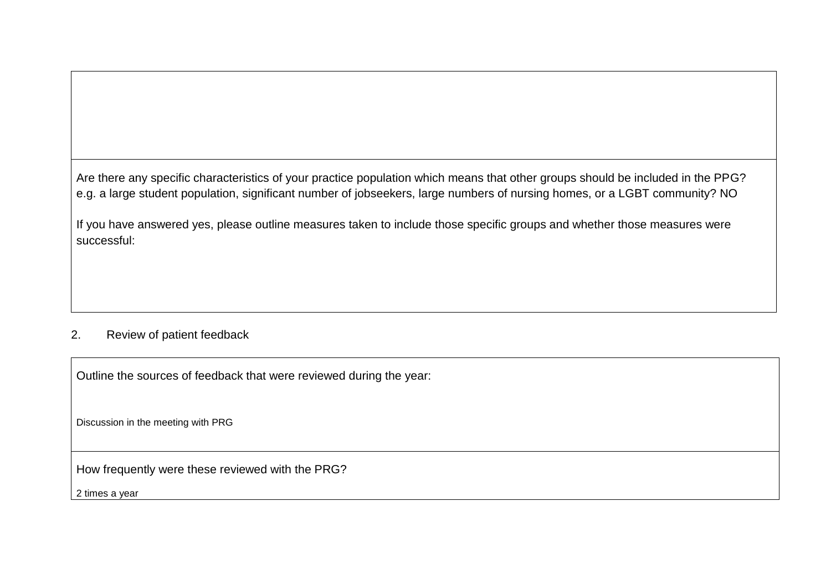Are there any specific characteristics of your practice population which means that other groups should be included in the PPG? e.g. a large student population, significant number of jobseekers, large numbers of nursing homes, or a LGBT community? NO

If you have answered yes, please outline measures taken to include those specific groups and whether those measures were successful:

#### 2. Review of patient feedback

Outline the sources of feedback that were reviewed during the year:

Discussion in the meeting with PRG

How frequently were these reviewed with the PRG?

2 times a year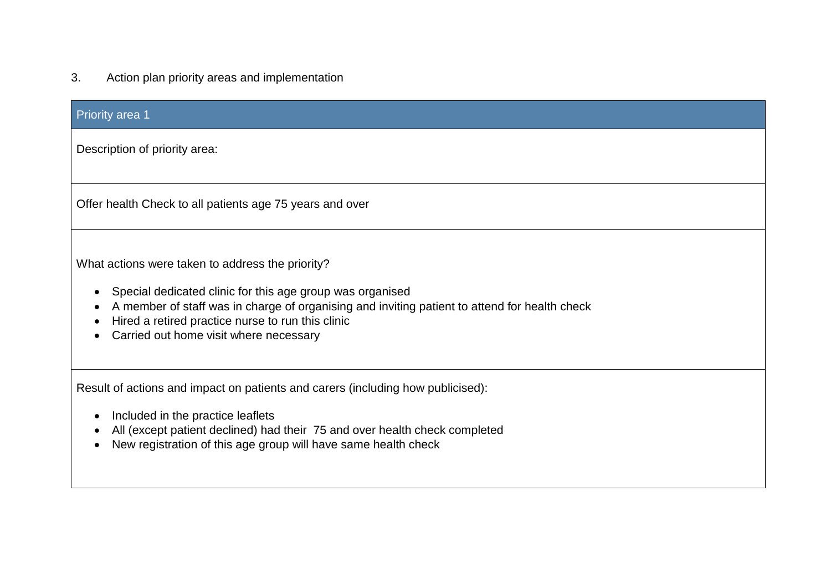3. Action plan priority areas and implementation

| <b>Priority area 1</b>                                                                                                                                                                                                                                                                                                     |
|----------------------------------------------------------------------------------------------------------------------------------------------------------------------------------------------------------------------------------------------------------------------------------------------------------------------------|
| Description of priority area:                                                                                                                                                                                                                                                                                              |
| Offer health Check to all patients age 75 years and over                                                                                                                                                                                                                                                                   |
| What actions were taken to address the priority?<br>Special dedicated clinic for this age group was organised<br>$\bullet$<br>A member of staff was in charge of organising and inviting patient to attend for health check<br>Hired a retired practice nurse to run this clinic<br>Carried out home visit where necessary |
| Result of actions and impact on patients and carers (including how publicised):<br>Included in the practice leaflets<br>о<br>All (except patient declined) had their 75 and over health check completed<br>New registration of this age group will have same health check                                                  |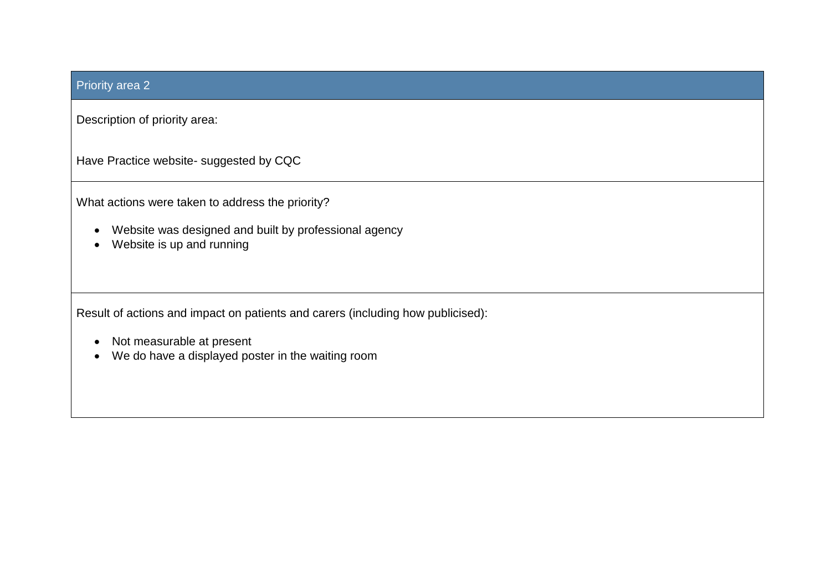### Priority area 2

Description of priority area:

Have Practice website- suggested by CQC

What actions were taken to address the priority?

- Website was designed and built by professional agency
- Website is up and running

Result of actions and impact on patients and carers (including how publicised):

- Not measurable at present
- We do have a displayed poster in the waiting room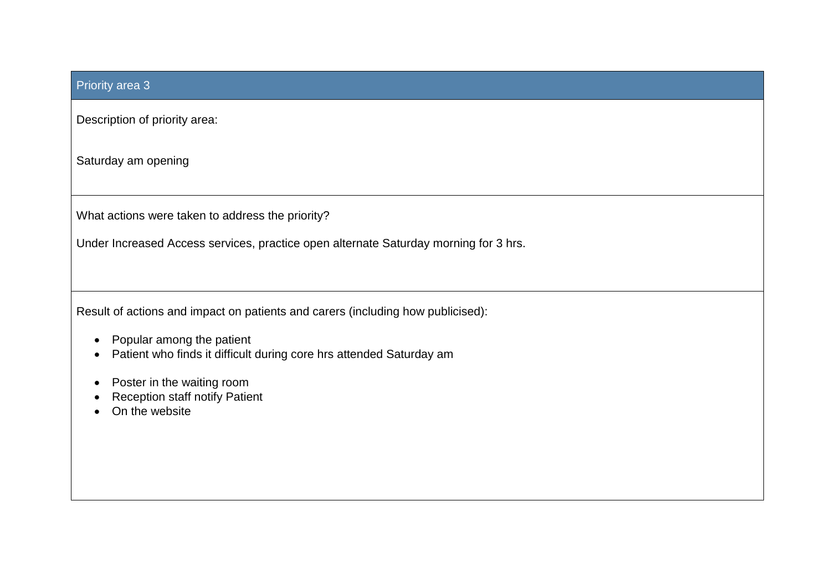### Priority area 3

Description of priority area:

Saturday am opening

What actions were taken to address the priority?

Under Increased Access services, practice open alternate Saturday morning for 3 hrs.

Result of actions and impact on patients and carers (including how publicised):

- Popular among the patient
- Patient who finds it difficult during core hrs attended Saturday am
- Poster in the waiting room
- Reception staff notify Patient
- On the website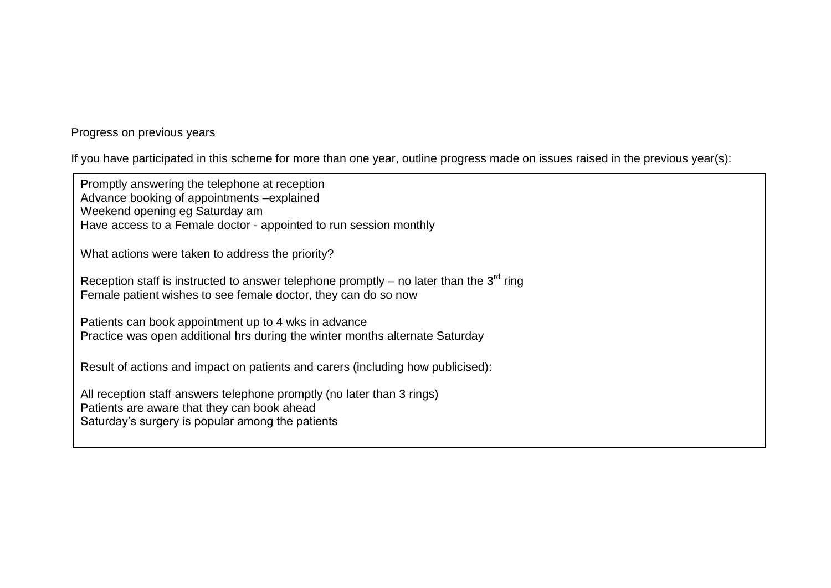Progress on previous years

If you have participated in this scheme for more than one year, outline progress made on issues raised in the previous year(s):

Promptly answering the telephone at reception Advance booking of appointments –explained Weekend opening eg Saturday am Have access to a Female doctor - appointed to run session monthly

What actions were taken to address the priority?

Reception staff is instructed to answer telephone promptly – no later than the  $3<sup>rd</sup>$  ring Female patient wishes to see female doctor, they can do so now

Patients can book appointment up to 4 wks in advance Practice was open additional hrs during the winter months alternate Saturday

Result of actions and impact on patients and carers (including how publicised):

All reception staff answers telephone promptly (no later than 3 rings) Patients are aware that they can book ahead Saturday's surgery is popular among the patients